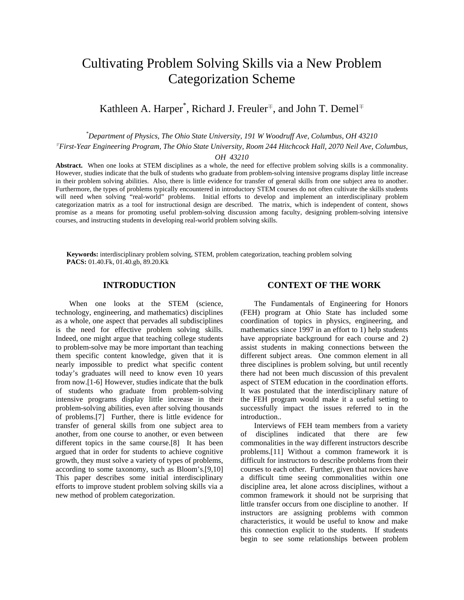# Cultivating Problem Solving Skills via a New Problem Categorization Scheme

Kathleen A. Harper<sup>\*</sup>, Richard J. Freuler<sup>∓</sup>, and John T. Demel<sup>∓</sup>

*\* Department of Physics, The Ohio State University, 191 W Woodruff Ave, Columbus, OH 43210* 

<sup>∓</sup> *First-Year Engineering Program, The Ohio State University, Room 244 Hitchcock Hall, 2070 Neil Ave, Columbus,* 

*OH 43210* 

**Abstract.** When one looks at STEM disciplines as a whole, the need for effective problem solving skills is a commonality. However, studies indicate that the bulk of students who graduate from problem-solving intensive programs display little increase in their problem solving abilities. Also, there is little evidence for transfer of general skills from one subject area to another. Furthermore, the types of problems typically encountered in introductory STEM courses do not often cultivate the skills students will need when solving "real-world" problems. Initial efforts to develop and implement an interdisciplinary problem categorization matrix as a tool for instructional design are described. The matrix, which is independent of content, shows promise as a means for promoting useful problem-solving discussion among faculty, designing problem-solving intensive courses, and instructing students in developing real-world problem solving skills.

**Keywords:** interdisciplinary problem solving, STEM, problem categorization, teaching problem solving **PACS:** 01.40.Fk, 01.40.gb, 89.20.Kk

# **INTRODUCTION**

When one looks at the STEM (science, technology, engineering, and mathematics) disciplines as a whole, one aspect that pervades all subdisciplines is the need for effective problem solving skills. Indeed, one might argue that teaching college students to problem-solve may be more important than teaching them specific content knowledge, given that it is nearly impossible to predict what specific content today's graduates will need to know even 10 years from now.[1-6] However, studies indicate that the bulk of students who graduate from problem-solving intensive programs display little increase in their problem-solving abilities, even after solving thousands of problems.[7] Further, there is little evidence for transfer of general skills from one subject area to another, from one course to another, or even between different topics in the same course.[8] It has been argued that in order for students to achieve cognitive growth, they must solve a variety of types of problems, according to some taxonomy, such as Bloom's.[9,10] This paper describes some initial interdisciplinary efforts to improve student problem solving skills via a new method of problem categorization.

# **CONTEXT OF THE WORK**

The Fundamentals of Engineering for Honors (FEH) program at Ohio State has included some coordination of topics in physics, engineering, and mathematics since 1997 in an effort to 1) help students have appropriate background for each course and 2) assist students in making connections between the different subject areas. One common element in all three disciplines is problem solving, but until recently there had not been much discussion of this prevalent aspect of STEM education in the coordination efforts. It was postulated that the interdisciplinary nature of the FEH program would make it a useful setting to successfully impact the issues referred to in the introduction..

Interviews of FEH team members from a variety of disciplines indicated that there are few commonalities in the way different instructors describe problems.[11] Without a common framework it is difficult for instructors to describe problems from their courses to each other. Further, given that novices have a difficult time seeing commonalities within one discipline area, let alone across disciplines, without a common framework it should not be surprising that little transfer occurs from one discipline to another. If instructors are assigning problems with common characteristics, it would be useful to know and make this connection explicit to the students. If students begin to see some relationships between problem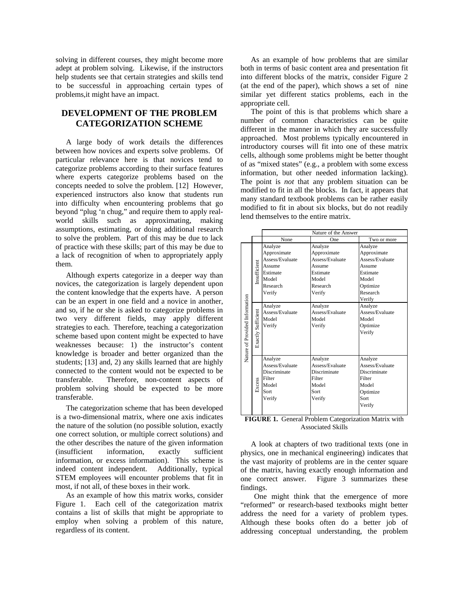solving in different courses, they might become more adept at problem solving. Likewise, if the instructors help students see that certain strategies and skills tend to be successful in approaching certain types of problems,it might have an impact.

# **DEVELOPMENT OF THE PROBLEM CATEGORIZATION SCHEME**

A large body of work details the differences between how novices and experts solve problems. Of particular relevance here is that novices tend to categorize problems according to their surface features where experts categorize problems based on the concepts needed to solve the problem. [12] However, experienced instructors also know that students run into difficulty when encountering problems that go beyond "plug 'n chug," and require them to apply realworld skills such as approximating, making assumptions, estimating, or doing additional research to solve the problem. Part of this may be due to lack of practice with these skills; part of this may be due to a lack of recognition of when to appropriately apply them.

Although experts categorize in a deeper way than novices, the categorization is largely dependent upon the content knowledge that the experts have. A person can be an expert in one field and a novice in another, and so, if he or she is asked to categorize problems in two very different fields, may apply different strategies to each. Therefore, teaching a categorization scheme based upon content might be expected to have weaknesses because: 1) the instructor's content knowledge is broader and better organized than the students; [13] and, 2) any skills learned that are highly connected to the content would not be expected to be transferable. Therefore, non-content aspects of problem solving should be expected to be more transferable.

The categorization scheme that has been developed is a two-dimensional matrix, where one axis indicates the nature of the solution (no possible solution, exactly one correct solution, or multiple correct solutions) and the other describes the nature of the given information (insufficient information, exactly sufficient information, or excess information). This scheme is indeed content independent. Additionally, typical STEM employees will encounter problems that fit in most, if not all, of these boxes in their work.

As an example of how this matrix works, consider Figure 1. Each cell of the categorization matrix contains a list of skills that might be appropriate to employ when solving a problem of this nature, regardless of its content.

As an example of how problems that are similar both in terms of basic content area and presentation fit into different blocks of the matrix, consider Figure 2 (at the end of the paper), which shows a set of nine similar yet different statics problems, each in the appropriate cell.

The point of this is that problems which share a number of common characteristics can be quite different in the manner in which they are successfully approached. Most problems typically encountered in introductory courses will fit into one of these matrix cells, although some problems might be better thought of as "mixed states" (e.g., a problem with some excess information, but other needed information lacking). The point is *not* that any problem situation can be modified to fit in all the blocks. In fact, it appears that many standard textbook problems can be rather easily modified to fit in about six blocks, but do not readily lend themselves to the entire matrix.

|                                |                                                                                           | Nature of the Answer                                                                           |                                                                                                |                                                                                                            |  |  |  |
|--------------------------------|-------------------------------------------------------------------------------------------|------------------------------------------------------------------------------------------------|------------------------------------------------------------------------------------------------|------------------------------------------------------------------------------------------------------------|--|--|--|
|                                |                                                                                           | None                                                                                           | One                                                                                            | Two or more                                                                                                |  |  |  |
| Nature of Provided Information | Insufficient                                                                              | Analyze<br>Approximate<br>Assess/Evaluate<br>Assume<br>Estimate<br>Model<br>Research<br>Verify | Analyze<br>Approximate<br>Assess/Evaluate<br>Assume<br>Estimate<br>Model<br>Research<br>Verify | Analyze<br>Approximate<br>Assess/Evaluate<br>Assume<br>Estimate<br>Model<br>Optimize<br>Research<br>Verify |  |  |  |
|                                | Exactly Sufficient                                                                        | Analyze<br>Assess/Evaluate<br>Model<br>Verify                                                  | Analyze<br>Assess/Evaluate<br>Model<br>Verify                                                  | Analyze<br>Assess/Evaluate<br>Model<br>Optimize<br>Verify                                                  |  |  |  |
|                                | Analyze<br>Assess/Evaluate<br>Discriminate<br>Filter<br>Excess<br>Model<br>Sort<br>Verify |                                                                                                | Analyze<br>Assess/Evaluate<br>Discriminate<br>Filter<br>Model<br>Sort<br>Verify                | Analyze<br>Assess/Evaluate<br>Discriminate<br>Filter<br>Model<br>Optimize<br>Sort<br>Verify                |  |  |  |

**FIGURE 1.** General Problem Categorization Matrix with Associated Skills

A look at chapters of two traditional texts (one in physics, one in mechanical engineering) indicates that the vast majority of problems are in the center square of the matrix, having exactly enough information and one correct answer. Figure 3 summarizes these findings.

One might think that the emergence of more "reformed" or research-based textbooks might better address the need for a variety of problem types. Although these books often do a better job of addressing conceptual understanding, the problem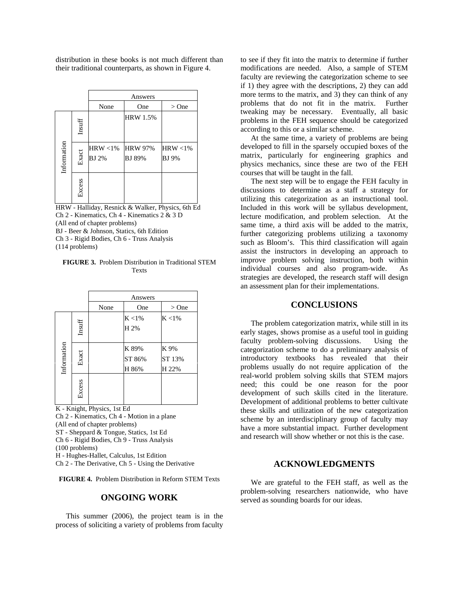distribution in these books is not much different than their traditional counterparts, as shown in Figure 4.

|             |        | Answers                     |                                 |                             |  |
|-------------|--------|-----------------------------|---------------------------------|-----------------------------|--|
|             |        | None                        | One                             | $>$ One                     |  |
|             | Insuff |                             | <b>HRW 1.5%</b>                 |                             |  |
| Information | Exact  | $HRW < 1\%$<br><b>BJ</b> 2% | <b>HRW 97%</b><br><b>BJ</b> 89% | $HRW < 1\%$<br><b>BJ</b> 9% |  |
|             | Excess |                             |                                 |                             |  |

HRW - Halliday, Resnick & Walker, Physics, 6th Ed Ch 2 - Kinematics, Ch 4 - Kinematics 2 & 3 D (All end of chapter problems) BJ - Beer & Johnson, Statics, 6th Edition Ch 3 - Rigid Bodies, Ch 6 - Truss Analysis (114 problems)

**FIGURE 3.** Problem Distribution in Traditional STEM Texts

|             |        | Answers |                          |                         |  |
|-------------|--------|---------|--------------------------|-------------------------|--|
|             |        | None    | One                      | $>$ One                 |  |
|             | Insuff |         | $K < 1\%$<br>H 2%        | $K < 1\%$               |  |
| Information | Exact  |         | K 89%<br>ST 86%<br>H 86% | K 9%<br>ST 13%<br>H 22% |  |
|             | Excess |         |                          |                         |  |

K - Knight, Physics, 1st Ed

Ch 2 - Kinematics, Ch 4 - Motion in a plane (All end of chapter problems) ST - Sheppard & Tongue, Statics, 1st Ed Ch 6 - Rigid Bodies, Ch 9 - Truss Analysis (100 problems) H - Hughes-Hallet, Calculus, 1st Edition

Ch 2 - The Derivative, Ch 5 - Using the Derivative

**FIGURE 4.** Problem Distribution in Reform STEM Texts

#### **ONGOING WORK**

This summer (2006), the project team is in the process of soliciting a variety of problems from faculty

to see if they fit into the matrix to determine if further modifications are needed. Also, a sample of STEM faculty are reviewing the categorization scheme to see if 1) they agree with the descriptions, 2) they can add more terms to the matrix, and 3) they can think of any problems that do not fit in the matrix. Further tweaking may be necessary. Eventually, all basic problems in the FEH sequence should be categorized according to this or a similar scheme.

At the same time, a variety of problems are being developed to fill in the sparsely occupied boxes of the matrix, particularly for engineering graphics and physics mechanics, since these are two of the FEH courses that will be taught in the fall.

The next step will be to engage the FEH faculty in discussions to determine as a staff a strategy for utilizing this categorization as an instructional tool. Included in this work will be syllabus development, lecture modification, and problem selection. At the same time, a third axis will be added to the matrix, further categorizing problems utilizing a taxonomy such as Bloom's. This third classification will again assist the instructors in developing an approach to improve problem solving instruction, both within individual courses and also program-wide. As strategies are developed, the research staff will design an assessment plan for their implementations.

#### **CONCLUSIONS**

The problem categorization matrix, while still in its early stages, shows promise as a useful tool in guiding faculty problem-solving discussions. Using the categorization scheme to do a preliminary analysis of introductory textbooks has revealed that their problems usually do not require application of the real-world problem solving skills that STEM majors need; this could be one reason for the poor development of such skills cited in the literature. Development of additional problems to better cultivate these skills and utilization of the new categorization scheme by an interdisciplinary group of faculty may have a more substantial impact. Further development and research will show whether or not this is the case.

#### **ACKNOWLEDGMENTS**

We are grateful to the FEH staff, as well as the problem-solving researchers nationwide, who have served as sounding boards for our ideas.